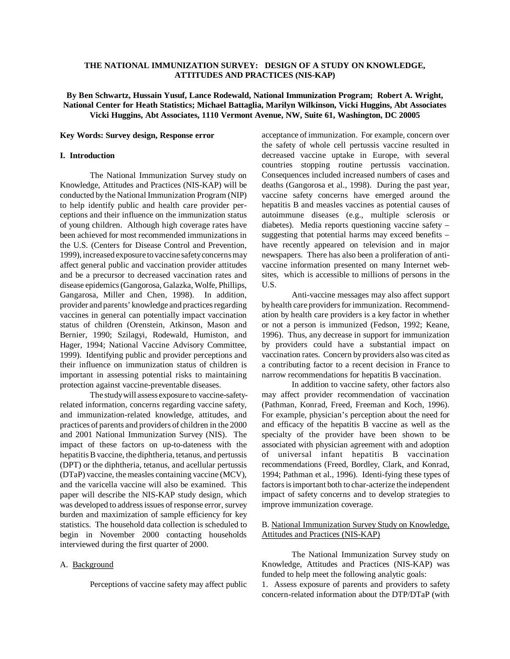# **THE NATIONAL IMMUNIZATION SURVEY: DESIGN OF A STUDY ON KNOWLEDGE, ATTITUDES AND PRACTICES (NIS-KAP)**

# **By Ben Schwartz, Hussain Yusuf, Lance Rodewald, National Immunization Program; Robert A. Wright, National Center for Heath Statistics; Michael Battaglia, Marilyn Wilkinson, Vicki Huggins, Abt Associates Vicki Huggins, Abt Associates, 1110 Vermont Avenue, NW, Suite 61, Washington, DC 20005**

#### **Key Words: Survey design, Response error**

## **I. Introduction**

The National Immunization Survey study on Knowledge, Attitudes and Practices (NIS-KAP) will be conducted by the National Immunization Program (NIP) to help identify public and health care provider perceptions and their influence on the immunization status of young children. Although high coverage rates have been achieved for most recommended immunizations in the U.S. (Centers for Disease Control and Prevention, 1999), increased exposure to vaccine safety concerns may affect general public and vaccination provider attitudes and be a precursor to decreased vaccination rates and disease epidemics (Gangorosa, Galazka, Wolfe, Phillips, Gangarosa, Miller and Chen, 1998). In addition, provider and parents' knowledge and practices regarding vaccines in general can potentially impact vaccination status of children (Orenstein, Atkinson, Mason and Bernier, 1990; Szilagyi, Rodewald, Humiston, and Hager, 1994; National Vaccine Advisory Committee, 1999). Identifying public and provider perceptions and their influence on immunization status of children is important in assessing potential risks to maintaining protection against vaccine-preventable diseases.

The study will assess exposure to vaccine-safetyrelated information, concerns regarding vaccine safety, and immunization-related knowledge, attitudes, and practices of parents and providers of children in the 2000 and 2001 National Immunization Survey (NIS). The impact of these factors on up-to-dateness with the hepatitis B vaccine, the diphtheria, tetanus, and pertussis (DPT) or the diphtheria, tetanus, and acellular pertussis (DTaP) vaccine, the measles containing vaccine (MCV), and the varicella vaccine will also be examined. This paper will describe the NIS-KAP study design, which was developed to address issues of response error, survey burden and maximization of sample efficiency for key statistics. The household data collection is scheduled to begin in November 2000 contacting households interviewed during the first quarter of 2000.

#### A. Background

Perceptions of vaccine safety may affect public

acceptance of immunization. For example, concern over the safety of whole cell pertussis vaccine resulted in decreased vaccine uptake in Europe, with several countries stopping routine pertussis vaccination. Consequences included increased numbers of cases and deaths (Gangorosa et al., 1998). During the past year, vaccine safety concerns have emerged around the hepatitis B and measles vaccines as potential causes of autoimmune diseases (e.g., multiple sclerosis or diabetes). Media reports questioning vaccine safety – suggesting that potential harms may exceed benefits – have recently appeared on television and in major newspapers. There has also been a proliferation of antivaccine information presented on many Internet websites, which is accessible to millions of persons in the U.S.

Anti-vaccine messages may also affect support by health care providers for immunization. Recommendation by health care providers is a key factor in whether or not a person is immunized (Fedson, 1992; Keane, 1996). Thus, any decrease in support for immunization by providers could have a substantial impact on vaccination rates. Concern by providers also was cited as a contributing factor to a recent decision in France to narrow recommendations for hepatitis B vaccination.

In addition to vaccine safety, other factors also may affect provider recommendation of vaccination (Pathman, Konrad, Freed, Freeman and Koch, 1996). For example, physician's perception about the need for and efficacy of the hepatitis B vaccine as well as the specialty of the provider have been shown to be associated with physician agreement with and adoption of universal infant hepatitis B vaccination recommendations (Freed, Bordley, Clark, and Konrad, 1994; Pathman et al., 1996). Identi-fying these types of factors is important both to char-acterize the independent impact of safety concerns and to develop strategies to improve immunization coverage.

## B. National Immunization Survey Study on Knowledge, Attitudes and Practices (NIS-KAP)

The National Immunization Survey study on Knowledge, Attitudes and Practices (NIS-KAP) was funded to help meet the following analytic goals: 1. Assess exposure of parents and providers to safety concern-related information about the DTP/DTaP (with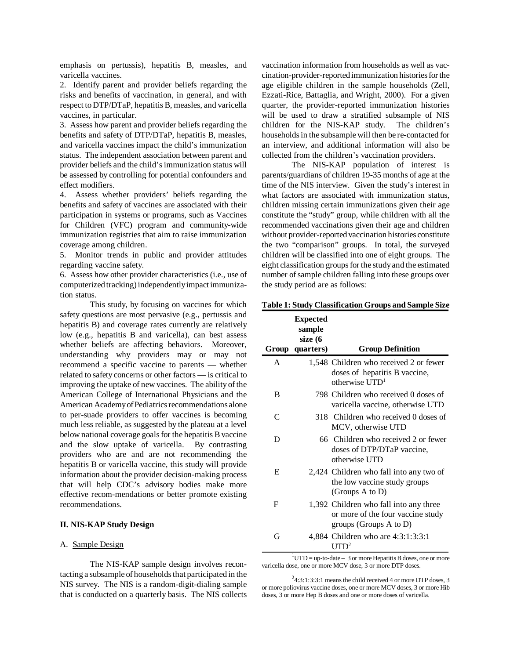emphasis on pertussis), hepatitis B, measles, and varicella vaccines.

2. Identify parent and provider beliefs regarding the risks and benefits of vaccination, in general, and with respect to DTP/DTaP, hepatitis B, measles, and varicella vaccines, in particular.

3. Assess how parent and provider beliefs regarding the benefits and safety of DTP/DTaP, hepatitis B, measles, and varicella vaccines impact the child's immunization status. The independent association between parent and provider beliefs and the child's immunization status will be assessed by controlling for potential confounders and effect modifiers.

4. Assess whether providers' beliefs regarding the benefits and safety of vaccines are associated with their participation in systems or programs, such as Vaccines for Children (VFC) program and community-wide immunization registries that aim to raise immunization coverage among children.

5. Monitor trends in public and provider attitudes regarding vaccine safety.

6. Assess how other provider characteristics (i.e., use of computerized tracking) independently impact immunization status.

This study, by focusing on vaccines for which safety questions are most pervasive (e.g., pertussis and hepatitis B) and coverage rates currently are relatively low (e.g., hepatitis B and varicella), can best assess whether beliefs are affecting behaviors. Moreover, understanding why providers may or may not recommend a specific vaccine to parents — whether related to safety concerns or other factors — is critical to improving the uptake of new vaccines. The ability of the American College of International Physicians and the American Academy of Pediatrics recommendations alone to per-suade providers to offer vaccines is becoming much less reliable, as suggested by the plateau at a level below national coverage goals for the hepatitis B vaccine and the slow uptake of varicella. By contrasting providers who are and are not recommending the hepatitis B or varicella vaccine, this study will provide information about the provider decision-making process that will help CDC's advisory bodies make more effective recom-mendations or better promote existing recommendations.

#### **II. NIS-KAP Study Design**

## A. Sample Design

The NIS-KAP sample design involves recontacting a subsample of households that participated in the NIS survey. The NIS is a random-digit-dialing sample that is conducted on a quarterly basis. The NIS collects vaccination information from households as well as vaccination-provider-reported immunization histories for the age eligible children in the sample households (Zell, Ezzati-Rice, Battaglia, and Wright, 2000). For a given quarter, the provider-reported immunization histories will be used to draw a stratified subsample of NIS children for the NIS-KAP study. The children's households in the subsample will then be re-contacted for an interview, and additional information will also be collected from the children's vaccination providers.

The NIS-KAP population of interest is parents/guardians of children 19-35 months of age at the time of the NIS interview. Given the study's interest in what factors are associated with immunization status, children missing certain immunizations given their age constitute the "study" group, while children with all the recommended vaccinations given their age and children without provider-reported vaccination histories constitute the two "comparison" groups. In total, the surveyed children will be classified into one of eight groups. The eight classification groups for the study and the estimated number of sample children falling into these groups over the study period are as follows:

## **Table 1: Study Classification Groups and Sample Size**

|   | <b>Expected</b><br>sample<br>size (6<br>Group quarters) | <b>Group Definition</b>                                                                                    |
|---|---------------------------------------------------------|------------------------------------------------------------------------------------------------------------|
| A |                                                         | 1,548 Children who received 2 or fewer<br>doses of hepatitis B vaccine,<br>otherwise $\text{UTD}^1$        |
| B |                                                         | 798 Children who received 0 doses of<br>varicella vaccine, otherwise UTD                                   |
| C |                                                         | 318 Children who received 0 doses of<br>MCV, otherwise UTD                                                 |
| D |                                                         | 66 Children who received 2 or fewer<br>doses of DTP/DTaP vaccine,<br>otherwise UTD                         |
| E |                                                         | 2,424 Children who fall into any two of<br>the low vaccine study groups<br>(Groups A to D)                 |
| F |                                                         | 1,392 Children who fall into any three<br>or more of the four vaccine study<br>groups (Groups $A$ to $D$ ) |
| G | $\mathbf{1}$                                            | 4,884 Children who are 4:3:1:3:3:1<br>I ITD <sup>2</sup>                                                   |

 $1<sup>1</sup>$ UTD = up-to-date – 3 or more Hepatitis B doses, one or more varicella dose, one or more MCV dose, 3 or more DTP doses.

 $24:3:1:3:3:1$  means the child received 4 or more DTP doses, 3 or more poliovirus vaccine doses, one or more MCV doses, 3 or more Hib doses, 3 or more Hep B doses and one or more doses of varicella.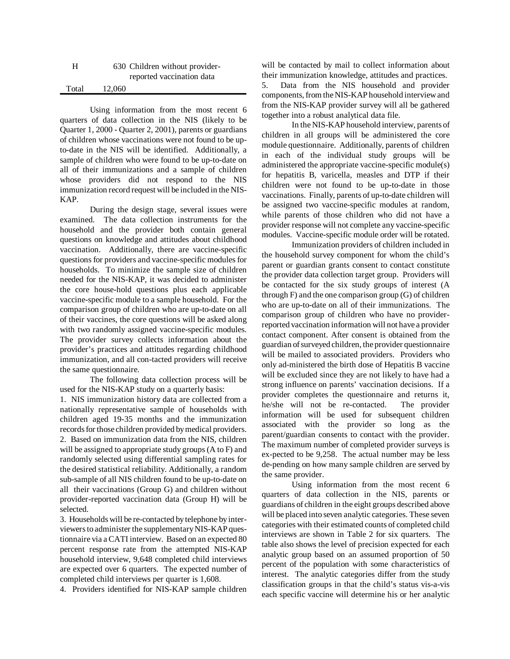| н     |        | 630 Children without provider- |
|-------|--------|--------------------------------|
|       |        | reported vaccination data      |
| Total | 12.060 |                                |

Using information from the most recent 6 quarters of data collection in the NIS (likely to be Quarter 1, 2000 - Quarter 2, 2001), parents or guardians of children whose vaccinations were not found to be upto-date in the NIS will be identified. Additionally, a sample of children who were found to be up-to-date on all of their immunizations and a sample of children whose providers did not respond to the NIS immunization record request will be included in the NIS-KAP.

During the design stage, several issues were examined. The data collection instruments for the household and the provider both contain general questions on knowledge and attitudes about childhood vaccination. Additionally, there are vaccine-specific questions for providers and vaccine-specific modules for households. To minimize the sample size of children needed for the NIS-KAP, it was decided to administer the core house-hold questions plus each applicable vaccine-specific module to a sample household. For the comparison group of children who are up-to-date on all of their vaccines, the core questions will be asked along with two randomly assigned vaccine-specific modules. The provider survey collects information about the provider's practices and attitudes regarding childhood immunization, and all con-tacted providers will receive the same questionnaire.

The following data collection process will be used for the NIS-KAP study on a quarterly basis:

1. NIS immunization history data are collected from a nationally representative sample of households with children aged 19-35 months and the immunization records for those children provided by medical providers. 2. Based on immunization data from the NIS, children will be assigned to appropriate study groups (A to F) and randomly selected using differential sampling rates for the desired statistical reliability. Additionally, a random sub-sample of all NIS children found to be up-to-date on all their vaccinations (Group G) and children without provider-reported vaccination data (Group H) will be selected.

3. Households will be re-contacted by telephone by interviewers to administer the supplementary NIS-KAP questionnaire via a CATI interview. Based on an expected 80 percent response rate from the attempted NIS-KAP household interview, 9,648 completed child interviews are expected over 6 quarters. The expected number of completed child interviews per quarter is 1,608.

4. Providers identified for NIS-KAP sample children

will be contacted by mail to collect information about their immunization knowledge, attitudes and practices.

5. Data from the NIS household and provider components, from the NIS-KAP household interview and from the NIS-KAP provider survey will all be gathered together into a robust analytical data file.

In the NIS-KAP household interview, parents of children in all groups will be administered the core module questionnaire. Additionally, parents of children in each of the individual study groups will be administered the appropriate vaccine-specific module(s) for hepatitis B, varicella, measles and DTP if their children were not found to be up-to-date in those vaccinations. Finally, parents of up-to-date children will be assigned two vaccine-specific modules at random, while parents of those children who did not have a provider response will not complete any vaccine-specific modules. Vaccine-specific module order will be rotated.

Immunization providers of children included in the household survey component for whom the child's parent or guardian grants consent to contact constitute the provider data collection target group. Providers will be contacted for the six study groups of interest (A through F) and the one comparison group (G) of children who are up-to-date on all of their immunizations. The comparison group of children who have no providerreported vaccination information will not have a provider contact component. After consent is obtained from the guardian of surveyed children, the provider questionnaire will be mailed to associated providers. Providers who only ad-ministered the birth dose of Hepatitis B vaccine will be excluded since they are not likely to have had a strong influence on parents' vaccination decisions. If a provider completes the questionnaire and returns it, he/she will not be re-contacted. The provider information will be used for subsequent children associated with the provider so long as the parent/guardian consents to contact with the provider. The maximum number of completed provider surveys is ex-pected to be 9,258. The actual number may be less de-pending on how many sample children are served by the same provider.

Using information from the most recent 6 quarters of data collection in the NIS, parents or guardians of children in the eight groups described above will be placed into seven analytic categories. These seven categories with their estimated counts of completed child interviews are shown in Table 2 for six quarters. The table also shows the level of precision expected for each analytic group based on an assumed proportion of 50 percent of the population with some characteristics of interest. The analytic categories differ from the study classification groups in that the child's status vis-a-vis each specific vaccine will determine his or her analytic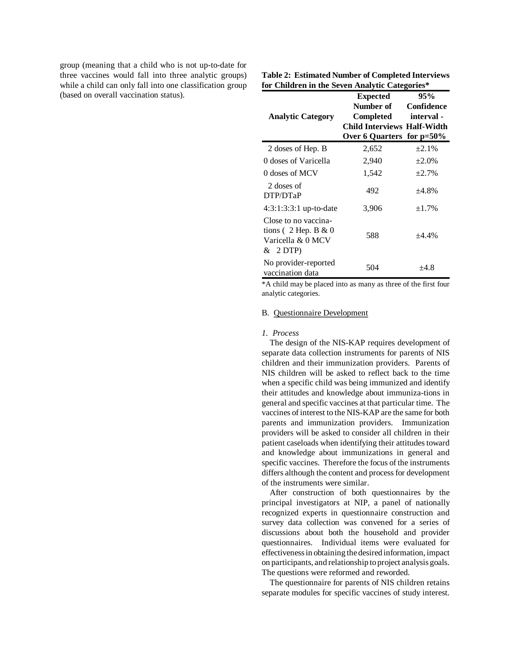group (meaning that a child who is not up-to-date for three vaccines would fall into three analytic groups) while a child can only fall into one classification group (based on overall vaccination status).

| $\alpha$ can $\alpha$ in the best from $\alpha$ called $\alpha$               |                                                                                                                            |                   |  |  |  |
|-------------------------------------------------------------------------------|----------------------------------------------------------------------------------------------------------------------------|-------------------|--|--|--|
| <b>Analytic Category</b>                                                      | Expected<br><b>Number of</b> Confidence<br>Completed<br><b>Child Interviews Half-Width</b><br>Over 6 Quarters for $p=50\%$ | 95%<br>- interval |  |  |  |
| 2 doses of Hep. B                                                             | 2,652                                                                                                                      | ±2.1%             |  |  |  |
| 0 doses of Varicella                                                          | 2,940                                                                                                                      | $\pm 2.0\%$       |  |  |  |
| 0 doses of MCV                                                                | 1,542                                                                                                                      | ±2.7%             |  |  |  |
| 2 doses of<br>DTP/DTaP                                                        | 492                                                                                                                        | ±4.8%             |  |  |  |
| $4:3:1:3:3:1$ up-to-date                                                      | 3,906                                                                                                                      | ±1.7%             |  |  |  |
| Close to no vaccina-<br>tions (2 Hep. B $& 0$<br>Varicella & 0 MCV<br>& 2 DTP | 588                                                                                                                        | $+4.4%$           |  |  |  |
| No provider-reported<br>vaccination data                                      | 504                                                                                                                        | $+4.8$            |  |  |  |

**Table 2: Estimated Number of Completed Interviews for Children in the Seven Analytic Categories\*** 

\*A child may be placed into as many as three of the first four analytic categories.

## B. Questionnaire Development

#### *1. Process*

The design of the NIS-KAP requires development of separate data collection instruments for parents of NIS children and their immunization providers. Parents of NIS children will be asked to reflect back to the time when a specific child was being immunized and identify their attitudes and knowledge about immuniza-tions in general and specific vaccines at that particular time. The vaccines of interest to the NIS-KAP are the same for both parents and immunization providers. Immunization providers will be asked to consider all children in their patient caseloads when identifying their attitudes toward and knowledge about immunizations in general and specific vaccines. Therefore the focus of the instruments differs although the content and process for development of the instruments were similar.

After construction of both questionnaires by the principal investigators at NIP, a panel of nationally recognized experts in questionnaire construction and survey data collection was convened for a series of discussions about both the household and provider questionnaires. Individual items were evaluated for effectiveness in obtaining the desired information, impact on participants, and relationship to project analysis goals. The questions were reformed and reworded.

The questionnaire for parents of NIS children retains separate modules for specific vaccines of study interest.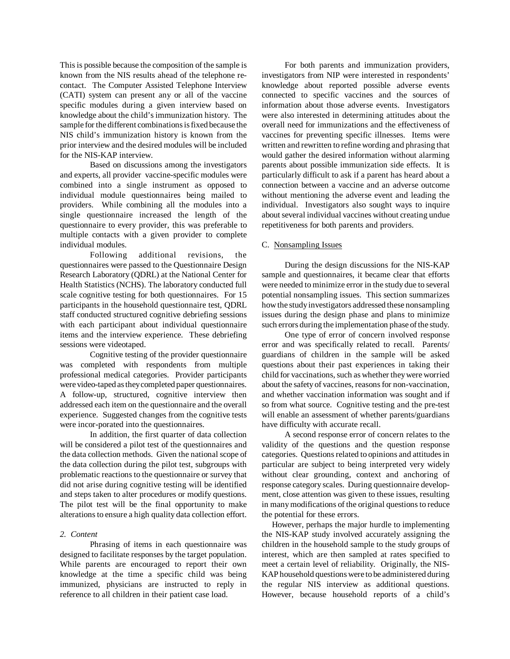This is possible because the composition of the sample is known from the NIS results ahead of the telephone recontact. The Computer Assisted Telephone Interview (CATI) system can present any or all of the vaccine specific modules during a given interview based on knowledge about the child's immunization history. The sample for the different combinations is fixed because the NIS child's immunization history is known from the prior interview and the desired modules will be included for the NIS-KAP interview.

Based on discussions among the investigators and experts, all provider vaccine-specific modules were combined into a single instrument as opposed to individual module questionnaires being mailed to providers. While combining all the modules into a single questionnaire increased the length of the questionnaire to every provider, this was preferable to multiple contacts with a given provider to complete individual modules.

Following additional revisions, the questionnaires were passed to the Questionnaire Design Research Laboratory (QDRL) at the National Center for Health Statistics (NCHS). The laboratory conducted full scale cognitive testing for both questionnaires. For 15 participants in the household questionnaire test, QDRL staff conducted structured cognitive debriefing sessions with each participant about individual questionnaire items and the interview experience. These debriefing sessions were videotaped.

Cognitive testing of the provider questionnaire was completed with respondents from multiple professional medical categories. Provider participants were video-taped as they completed paper questionnaires. A follow-up, structured, cognitive interview then addressed each item on the questionnaire and the overall experience. Suggested changes from the cognitive tests were incor-porated into the questionnaires.

In addition, the first quarter of data collection will be considered a pilot test of the questionnaires and the data collection methods. Given the national scope of the data collection during the pilot test, subgroups with problematic reactions to the questionnaire or survey that did not arise during cognitive testing will be identified and steps taken to alter procedures or modify questions. The pilot test will be the final opportunity to make alterations to ensure a high quality data collection effort.

# *2. Content*

Phrasing of items in each questionnaire was designed to facilitate responses by the target population. While parents are encouraged to report their own knowledge at the time a specific child was being immunized, physicians are instructed to reply in reference to all children in their patient case load.

For both parents and immunization providers, investigators from NIP were interested in respondents' knowledge about reported possible adverse events connected to specific vaccines and the sources of information about those adverse events. Investigators were also interested in determining attitudes about the overall need for immunizations and the effectiveness of vaccines for preventing specific illnesses. Items were written and rewritten to refine wording and phrasing that would gather the desired information without alarming parents about possible immunization side effects. It is particularly difficult to ask if a parent has heard about a connection between a vaccine and an adverse outcome without mentioning the adverse event and leading the individual. Investigators also sought ways to inquire about several individual vaccines without creating undue repetitiveness for both parents and providers.

### C. Nonsampling Issues

During the design discussions for the NIS-KAP sample and questionnaires, it became clear that efforts were needed to minimize error in the study due to several potential nonsampling issues. This section summarizes how the study investigators addressed these nonsampling issues during the design phase and plans to minimize such errors during the implementation phase of the study.

One type of error of concern involved response error and was specifically related to recall. Parents/ guardians of children in the sample will be asked questions about their past experiences in taking their child for vaccinations, such as whether they were worried about the safety of vaccines, reasons for non-vaccination, and whether vaccination information was sought and if so from what source. Cognitive testing and the pre-test will enable an assessment of whether parents/guardians have difficulty with accurate recall.

A second response error of concern relates to the validity of the questions and the question response categories. Questions related to opinions and attitudes in particular are subject to being interpreted very widely without clear grounding, context and anchoring of response category scales. During questionnaire development, close attention was given to these issues, resulting in many modifications of the original questions to reduce the potential for these errors.

 However, perhaps the major hurdle to implementing the NIS-KAP study involved accurately assigning the children in the household sample to the study groups of interest, which are then sampled at rates specified to meet a certain level of reliability. Originally, the NIS-KAP household questions were to be administered during the regular NIS interview as additional questions. However, because household reports of a child's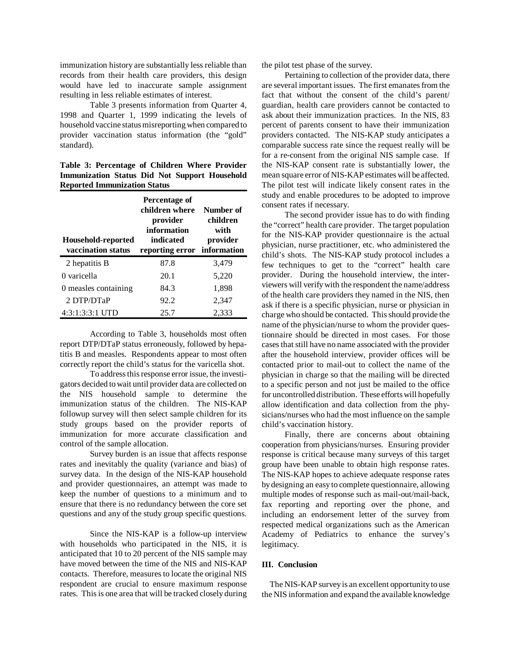immunization history are substantially less reliable than records from their health care providers, this design would have led to inaccurate sample assignment resulting in less reliable estimates of interest.

Table 3 presents information from Quarter 4, 1998 and Quarter 1, 1999 indicating the levels of household vaccine status misreporting when compared to provider vaccination status information (the "gold" standard).

**Table 3: Percentage of Children Where Provider Immunization Status Did Not Support Household Reported Immunization Status** 

| Household-reported<br>vaccination status | Percentage of<br>children where<br>provider<br>information<br>indicated<br>reporting error information | Number of<br>children<br>with<br>provider |
|------------------------------------------|--------------------------------------------------------------------------------------------------------|-------------------------------------------|
| 2 hepatitis B                            | 87.8                                                                                                   | 3,479                                     |
| 0 varicella                              | 20.1                                                                                                   | 5,220                                     |
| 0 measles containing                     | 84.3                                                                                                   | 1,898                                     |
| 2 DTP/DTaP                               | 92.2                                                                                                   | 2,347                                     |
| 4:3:1:3:3:1 UTD                          | 25.7                                                                                                   | 2,333                                     |

According to Table 3, households most often report DTP/DTaP status erroneously, followed by hepatitis B and measles. Respondents appear to most often correctly report the child's status for the varicella shot.

To address this response error issue, the investigators decided to wait until provider data are collected on the NIS household sample to determine the immunization status of the children. The NIS-KAP followup survey will then select sample children for its study groups based on the provider reports of immunization for more accurate classification and control of the sample allocation.

Survey burden is an issue that affects response rates and inevitably the quality (variance and bias) of survey data. In the design of the NIS-KAP household and provider questionnaires, an attempt was made to keep the number of questions to a minimum and to ensure that there is no redundancy between the core set questions and any of the study group specific questions.

Since the NIS-KAP is a follow-up interview with households who participated in the NIS, it is anticipated that 10 to 20 percent of the NIS sample may have moved between the time of the NIS and NIS-KAP contacts. Therefore, measures to locate the original NIS respondent are crucial to ensure maximum response rates. This is one area that will be tracked closely during the pilot test phase of the survey.

Pertaining to collection of the provider data, there are several important issues. The first emanates from the fact that without the consent of the child's parent/ guardian, health care providers cannot be contacted to ask about their immunization practices. In the NIS, 83 percent of parents consent to have their immunization providers contacted. The NIS-KAP study anticipates a comparable success rate since the request really will be for a re-consent from the original NIS sample case. If the NIS-KAP consent rate is substantially lower, the mean square error of NIS-KAP estimates will be affected. The pilot test will indicate likely consent rates in the study and enable procedures to be adopted to improve consent rates if necessary.

The second provider issue has to do with finding the "correct" health care provider. The target population for the NIS-KAP provider questionnaire is the actual physician, nurse practitioner, etc. who administered the child's shots. The NIS-KAP study protocol includes a few techniques to get to the "correct" health care provider. During the household interview, the interviewers will verify with the respondent the name/address of the health care providers they named in the NIS, then ask if there is a specific physician, nurse or physician in charge who should be contacted. This should provide the name of the physician/nurse to whom the provider questionnaire should be directed in most cases. For those cases that still have no name associated with the provider after the household interview, provider offices will be contacted prior to mail-out to collect the name of the physician in charge so that the mailing will be directed to a specific person and not just be mailed to the office for uncontrolled distribution. These efforts will hopefully allow identification and data collection from the physicians/nurses who had the most influence on the sample child's vaccination history.

Finally, there are concerns about obtaining cooperation from physicians/nurses. Ensuring provider response is critical because many surveys of this target group have been unable to obtain high response rates. The NIS-KAP hopes to achieve adequate response rates by designing an easy to complete questionnaire, allowing multiple modes of response such as mail-out/mail-back, fax reporting and reporting over the phone, and including an endorsement letter of the survey from respected medical organizations such as the American Academy of Pediatrics to enhance the survey's legitimacy.

#### **III. Conclusion**

The NIS-KAP survey is an excellent opportunity to use the NIS information and expand the available knowledge